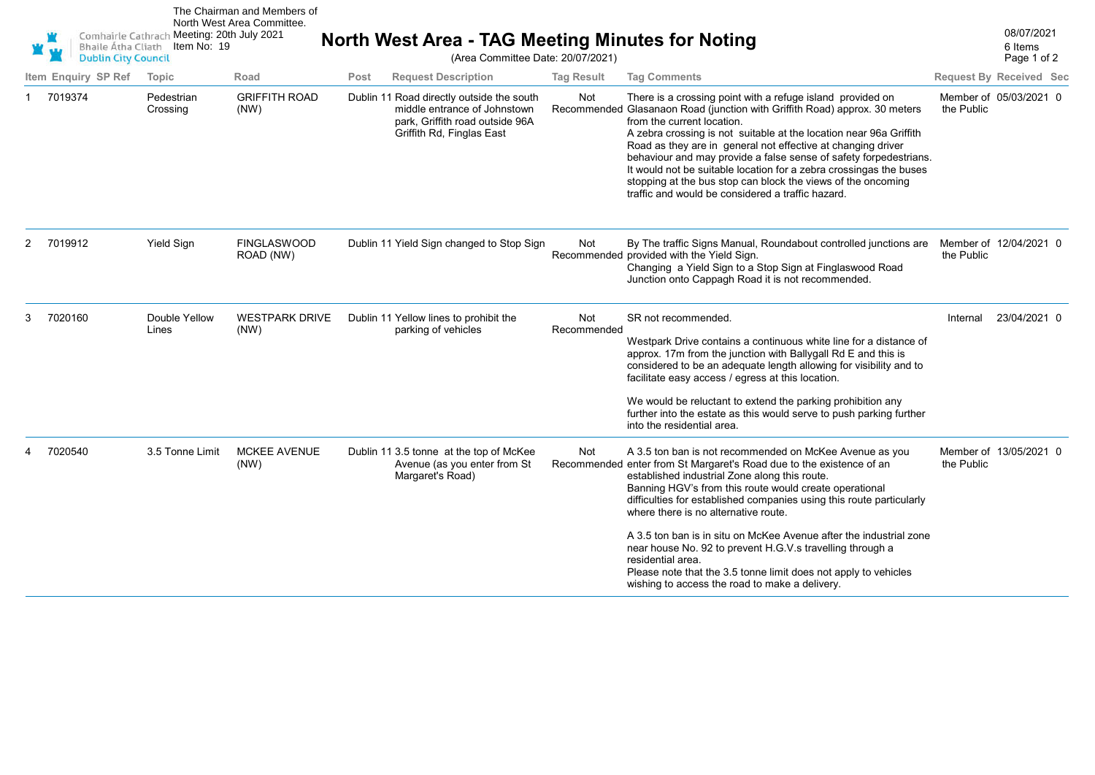|   | <b>Bhaile Átha Cliath</b><br><b>Dublin City Council</b> |                        | The Chairman and Members of<br>North West Area Committee.<br>Comhairle Cathrach Meeting: 20th July 2021<br>Item No: 19 |      | North West Area - TAG Meeting Minutes for Noting<br>(Area Committee Date: 20/07/2021)                                                     |                    |                                                                                                                                                                                                                                                                                                                                                                                                                                                                                                                                                                                                                                         |            |                                |
|---|---------------------------------------------------------|------------------------|------------------------------------------------------------------------------------------------------------------------|------|-------------------------------------------------------------------------------------------------------------------------------------------|--------------------|-----------------------------------------------------------------------------------------------------------------------------------------------------------------------------------------------------------------------------------------------------------------------------------------------------------------------------------------------------------------------------------------------------------------------------------------------------------------------------------------------------------------------------------------------------------------------------------------------------------------------------------------|------------|--------------------------------|
|   | Item Enquiry SP Ref                                     | Topic                  | Road                                                                                                                   | Post | <b>Request Description</b>                                                                                                                | <b>Tag Result</b>  | <b>Tag Comments</b>                                                                                                                                                                                                                                                                                                                                                                                                                                                                                                                                                                                                                     |            | <b>Request By Received Sec</b> |
|   | 7019374                                                 | Pedestrian<br>Crossing | <b>GRIFFITH ROAD</b><br>(NW)                                                                                           |      | Dublin 11 Road directly outside the south<br>middle entrance of Johnstown<br>park. Griffith road outside 96A<br>Griffith Rd, Finglas East | Not                | There is a crossing point with a refuge island provided on<br>Recommended Glasanaon Road (junction with Griffith Road) approx. 30 meters<br>from the current location.<br>A zebra crossing is not suitable at the location near 96a Griffith<br>Road as they are in general not effective at changing driver<br>behaviour and may provide a false sense of safety forpedestrians.<br>It would not be suitable location for a zebra crossingas the buses<br>stopping at the bus stop can block the views of the oncoming<br>traffic and would be considered a traffic hazard.                                                            | the Public | Member of 05/03/2021 0         |
| 2 | 7019912                                                 | Yield Sign             | <b>FINGLASWOOD</b><br>ROAD (NW)                                                                                        |      | Dublin 11 Yield Sign changed to Stop Sign                                                                                                 | Not                | By The traffic Signs Manual, Roundabout controlled junctions are<br>Recommended provided with the Yield Sign.<br>Changing a Yield Sign to a Stop Sign at Finglaswood Road<br>Junction onto Cappagh Road it is not recommended.                                                                                                                                                                                                                                                                                                                                                                                                          | the Public | Member of 12/04/2021 0         |
| 3 | 7020160                                                 | Double Yellow<br>Lines | <b>WESTPARK DRIVE</b><br>(NW)                                                                                          |      | Dublin 11 Yellow lines to prohibit the<br>parking of vehicles                                                                             | Not<br>Recommended | SR not recommended.<br>Westpark Drive contains a continuous white line for a distance of<br>approx. 17m from the junction with Ballygall Rd E and this is<br>considered to be an adequate length allowing for visibility and to<br>facilitate easy access / egress at this location.<br>We would be reluctant to extend the parking prohibition any<br>further into the estate as this would serve to push parking further<br>into the residential area.                                                                                                                                                                                | Internal   | 23/04/2021 0                   |
|   | 7020540                                                 | 3.5 Tonne Limit        | <b>MCKEE AVENUE</b><br>(NW)                                                                                            |      | Dublin 11 3.5 tonne at the top of McKee<br>Avenue (as you enter from St<br>Margaret's Road)                                               | Not                | A 3.5 ton ban is not recommended on McKee Avenue as you<br>Recommended enter from St Margaret's Road due to the existence of an<br>established industrial Zone along this route.<br>Banning HGV's from this route would create operational<br>difficulties for established companies using this route particularly<br>where there is no alternative route.<br>A 3.5 ton ban is in situ on McKee Avenue after the industrial zone<br>near house No. 92 to prevent H.G.V.s travelling through a<br>residential area.<br>Please note that the 3.5 tonne limit does not apply to vehicles<br>wishing to access the road to make a delivery. | the Public | Member of 13/05/2021 0         |